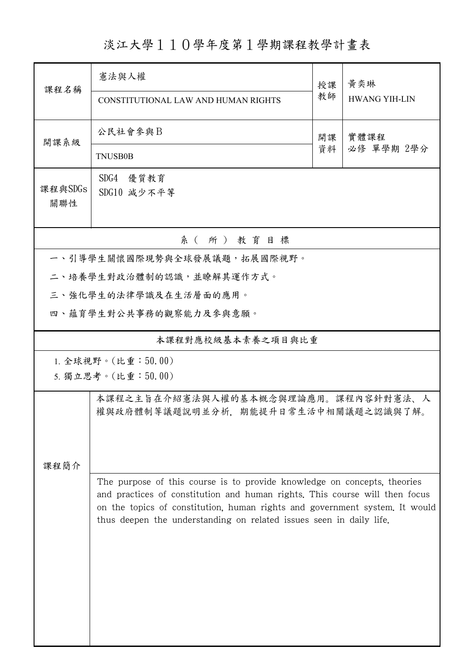## 淡江大學110學年度第1學期課程教學計畫表

| 課程名稱                                     | 憲法與人權                                                                                                                                                                                                                                                                                                         |          | 黃奕琳                  |  |  |  |  |  |
|------------------------------------------|---------------------------------------------------------------------------------------------------------------------------------------------------------------------------------------------------------------------------------------------------------------------------------------------------------------|----------|----------------------|--|--|--|--|--|
|                                          | CONSTITUTIONAL LAW AND HUMAN RIGHTS                                                                                                                                                                                                                                                                           | 授課<br>教師 | <b>HWANG YIH-LIN</b> |  |  |  |  |  |
| 開課系級                                     | 公民社會參與B                                                                                                                                                                                                                                                                                                       | 開課<br>資料 | 實體課程                 |  |  |  |  |  |
|                                          | <b>TNUSB0B</b>                                                                                                                                                                                                                                                                                                |          | 必修 單學期 2學分           |  |  |  |  |  |
| 課程與SDGs<br>關聯性                           | SDG4 優質教育<br>SDG10 減少不平等                                                                                                                                                                                                                                                                                      |          |                      |  |  |  |  |  |
| 系 (所) 教育目標                               |                                                                                                                                                                                                                                                                                                               |          |                      |  |  |  |  |  |
| 一、引導學生關懷國際現勢與全球發展議題,拓展國際視野。              |                                                                                                                                                                                                                                                                                                               |          |                      |  |  |  |  |  |
|                                          | 二、培養學生對政治體制的認識,並瞭解其運作方式。                                                                                                                                                                                                                                                                                      |          |                      |  |  |  |  |  |
|                                          | 三、強化學生的法律學識及在生活層面的應用。                                                                                                                                                                                                                                                                                         |          |                      |  |  |  |  |  |
|                                          | 四、蘊育學生對公共事務的觀察能力及參與意願。                                                                                                                                                                                                                                                                                        |          |                      |  |  |  |  |  |
| 本課程對應校級基本素養之項目與比重                        |                                                                                                                                                                                                                                                                                                               |          |                      |  |  |  |  |  |
| 1. 全球視野。(比重:50.00)<br>5. 獨立思考。(比重:50.00) |                                                                                                                                                                                                                                                                                                               |          |                      |  |  |  |  |  |
| 课程简介                                     | 本課程之主旨在介紹憲法與人權的基本概念與理論應用。課程內容針對憲法、人<br>權與政府體制等議題說明並分析,期能提升日常生活中相關議題之認識與了解。                                                                                                                                                                                                                                    |          |                      |  |  |  |  |  |
|                                          | The purpose of this course is to provide knowledge on concepts, theories<br>and practices of constitution and human rights. This course will then focus<br>on the topics of constitution, human rights and government system. It would<br>thus deepen the understanding on related issues seen in daily life. |          |                      |  |  |  |  |  |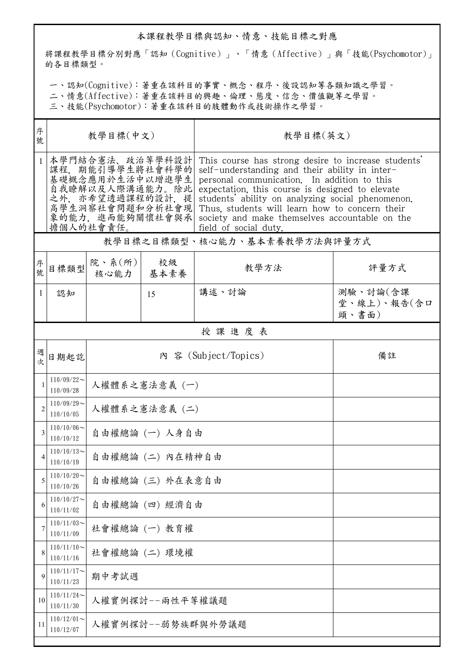## 本課程教學目標與認知、情意、技能目標之對應

將課程教學目標分別對應「認知(Cognitive)」、「情意(Affective)」與「技能(Psychomotor)」 的各目標類型。

一、認知(Cognitive):著重在該科目的事實、概念、程序、後設認知等各類知識之學習。

二、情意(Affective):著重在該科目的興趣、倫理、態度、信念、價值觀等之學習。

三、技能(Psychomotor):著重在該科目的肢體動作或技術操作之學習。

| 序<br>號         | 教學目標(中文)                                                                                                                                          |                          |               | 教學目標(英文)                                                                                                                                                                                                                                                                                                                                                                                  |                                  |  |  |
|----------------|---------------------------------------------------------------------------------------------------------------------------------------------------|--------------------------|---------------|-------------------------------------------------------------------------------------------------------------------------------------------------------------------------------------------------------------------------------------------------------------------------------------------------------------------------------------------------------------------------------------------|----------------------------------|--|--|
|                | 本學門結合憲法、政治等學科設計<br>課程,期能引導學生將社會科學的<br>基礎概念應用於生活中以增進學生<br>自我瞭解以及人際溝通能力。除此 <br>之外,亦希望透過課程的設計,提<br>高學生洞察社會問題和分析社會現 <br>象的能力, 進而能夠關懷社會與承<br>擔個人的社會責任。 |                          |               | This course has strong desire to increase students'<br>self-understanding and their ability in inter-<br>personal communication. In addition to this<br>expectation, this course is designed to elevate<br>students' ability on analyzing social phenomenon.<br>Thus, students will learn how to concern their<br>society and make themselves accountable on the<br>field of social duty. |                                  |  |  |
|                |                                                                                                                                                   |                          |               | 教學目標之目標類型、核心能力、基本素養教學方法與評量方式                                                                                                                                                                                                                                                                                                                                                              |                                  |  |  |
| 序<br>號         | 目標類型                                                                                                                                              | 院、系 $(\text{m})$<br>核心能力 | 校級<br>基本素養    | 教學方法                                                                                                                                                                                                                                                                                                                                                                                      | 評量方式                             |  |  |
| 1              | 認知                                                                                                                                                |                          | 15            | 講述、討論                                                                                                                                                                                                                                                                                                                                                                                     | 測驗、討論(含課<br>堂、線上)、報告(含口<br>頭、書面) |  |  |
|                |                                                                                                                                                   |                          |               | 授課進度表                                                                                                                                                                                                                                                                                                                                                                                     |                                  |  |  |
| 週<br>。<br>次    | 日期起訖                                                                                                                                              | 內 容 (Subject/Topics)     |               |                                                                                                                                                                                                                                                                                                                                                                                           | 備註                               |  |  |
| 1              | $110/09/22$ ~<br>110/09/28                                                                                                                        |                          | 人權體系之憲法意義 (一) |                                                                                                                                                                                                                                                                                                                                                                                           |                                  |  |  |
| $\overline{2}$ | $110/09/29$ ~<br>110/10/05                                                                                                                        | 人權體系之憲法意義 (二)            |               |                                                                                                                                                                                                                                                                                                                                                                                           |                                  |  |  |
| 3              | $110/10/06 \sim$<br>110/10/12                                                                                                                     | 自由權總論(一)人身自由             |               |                                                                                                                                                                                                                                                                                                                                                                                           |                                  |  |  |
| 4              | $110/10/13$ ~<br>110/10/19                                                                                                                        | 自由權總論 (二) 内在精神自由         |               |                                                                                                                                                                                                                                                                                                                                                                                           |                                  |  |  |
| 5              | $110/10/20$ ~<br>110/10/26                                                                                                                        | 自由權總論 (三) 外在表意自由         |               |                                                                                                                                                                                                                                                                                                                                                                                           |                                  |  |  |
| 6              | $110/10/27$ ~<br>110/11/02                                                                                                                        | 自由權總論 (四) 經濟自由           |               |                                                                                                                                                                                                                                                                                                                                                                                           |                                  |  |  |
| 7              | $110/11/03$ ~<br>110/11/09                                                                                                                        | 社會權總論 (一) 教育權            |               |                                                                                                                                                                                                                                                                                                                                                                                           |                                  |  |  |
| 8              | $110/11/10$ ~<br>110/11/16                                                                                                                        | 社會權總論 (二) 環境權            |               |                                                                                                                                                                                                                                                                                                                                                                                           |                                  |  |  |
| 9              | $110/11/17$ ~<br>110/11/23                                                                                                                        | 期中考試週                    |               |                                                                                                                                                                                                                                                                                                                                                                                           |                                  |  |  |
| 10             | $110/11/24$ ~<br>110/11/30                                                                                                                        | 人權實例探討--兩性平等權議題          |               |                                                                                                                                                                                                                                                                                                                                                                                           |                                  |  |  |
| 11             | $110/12/01$ ~<br>110/12/07                                                                                                                        | 人權實例探討--弱勢族群與外勞議題        |               |                                                                                                                                                                                                                                                                                                                                                                                           |                                  |  |  |